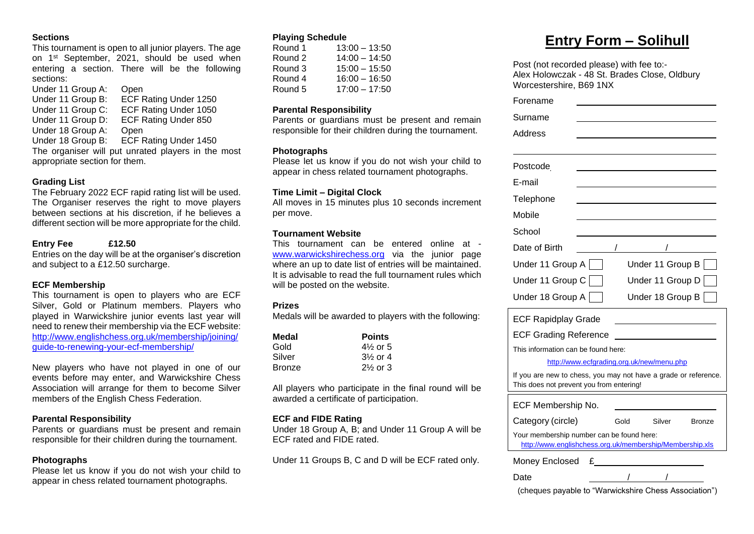#### **Sections**

This tournament is open to all junior players. The age on 1 st September, 2021, should be used when entering a section. There will be the following sections:

Under 11 Group A: Open Under 11 Group B: ECF Rating Under 1250 Under 11 Group C: ECF Rating Under 1050

Under 11 Group D: ECF Rating Under 850

Under 18 Group A: Open

Under 18 Group B: ECF Rating Under 1450 The organiser will put unrated players in the most appropriate section for them.

#### **Grading List**

The February 2022 ECF rapid rating list will be used. The Organiser reserves the right to move players between sections at his discretion, if he believes a different section will be more appropriate for the child.

#### **Entry Fee £12.50**

Entries on the day will be at the organiser's discretion and subject to a £12.50 surcharge.

#### **ECF Membership**

This tournament is open to players who are ECF Silver, Gold or Platinum members. Players who played in Warwickshire junior events last year will need to renew their membership via the ECF website: [http://www.englishchess.org.uk/membership/joining/](http://www.englishchess.org.uk/membership/joining/guide-to-renewing-your-ecf-membership/) [guide-to-renewing-your-ecf-membership/](http://www.englishchess.org.uk/membership/joining/guide-to-renewing-your-ecf-membership/)

New players who have not played in one of our events before may enter, and Warwickshire Chess Association will arrange for them to become Silver members of the English Chess Federation.

#### **Parental Responsibility**

Parents or guardians must be present and remain responsible for their children during the tournament.

#### **Photographs**

Please let us know if you do not wish your child to appear in chess related tournament photographs.

#### **Playing Schedule**

| Round 1 | $13:00 - 13:50$ |
|---------|-----------------|
| Round 2 | $14:00 - 14:50$ |
| Round 3 | $15:00 - 15:50$ |
| Round 4 | $16:00 - 16:50$ |
| Round 5 | $17:00 - 17:50$ |
|         |                 |

#### **Parental Responsibility**

Parents or guardians must be present and remain responsible for their children during the tournament.

#### **Photographs**

Please let us know if you do not wish your child to appear in chess related tournament photographs.

#### **Time Limit – Digital Clock**

All moves in 15 minutes plus 10 seconds increment per move.

#### **Tournament Website**

This tournament can be entered online at [www.warwickshirechess.org](http://www.warwickshirechess.org/) via the junior page where an up to date list of entries will be maintained. It is advisable to read the full tournament rules which will be posted on the website.

#### **Prizes**

Medals will be awarded to players with the following:

| Medal         | <b>Points</b> |
|---------------|---------------|
| Gold          | $4\%$ or 5    |
| Silver        | $3\%$ or 4    |
| <b>Bronze</b> | $2\%$ or 3    |

All players who participate in the final round will be awarded a certificate of participation.

#### **ECF and FIDE Rating**

Under 18 Group A, B; and Under 11 Group A will be ECF rated and FIDE rated.

Under 11 Groups B, C and D will be ECF rated only.

## **Entry Form – Solihull**

Post (not recorded please) with fee to:- Alex Holowczak - 48 St. Brades Close, Oldbury Worcestershire, B69 1NX

| Forename                                                                                                    |                                           |      |  |                  |               |  |
|-------------------------------------------------------------------------------------------------------------|-------------------------------------------|------|--|------------------|---------------|--|
| Surname                                                                                                     |                                           |      |  |                  |               |  |
| Address                                                                                                     |                                           |      |  |                  |               |  |
| Postcode                                                                                                    |                                           |      |  |                  |               |  |
| E-mail                                                                                                      |                                           |      |  |                  |               |  |
| Telephone                                                                                                   |                                           |      |  |                  |               |  |
| Mobile                                                                                                      |                                           |      |  |                  |               |  |
| School                                                                                                      |                                           |      |  |                  |               |  |
| Date of Birth                                                                                               |                                           |      |  |                  |               |  |
| Under 11 Group A                                                                                            |                                           |      |  | Under 11 Group B |               |  |
| Under 11 Group C                                                                                            |                                           |      |  | Under 11 Group D |               |  |
| Under 18 Group A                                                                                            |                                           |      |  | Under 18 Group B |               |  |
| <b>ECF Rapidplay Grade</b>                                                                                  |                                           |      |  |                  |               |  |
| <b>ECF Grading Reference</b>                                                                                |                                           |      |  |                  |               |  |
| This information can be found here:                                                                         |                                           |      |  |                  |               |  |
|                                                                                                             | http://www.ecfgrading.org.uk/new/menu.php |      |  |                  |               |  |
| If you are new to chess, you may not have a grade or reference.<br>This does not prevent you from entering! |                                           |      |  |                  |               |  |
| ECF Membership No.                                                                                          |                                           |      |  |                  |               |  |
| Category (circle)                                                                                           |                                           | Gold |  | Silver           | <b>Bronze</b> |  |

| Your membership number can be found here:                |
|----------------------------------------------------------|
| http://www.englishchess.org.uk/membership/Membership.xls |

Money Enclosed £

Date / / /

(cheques payable to "Warwickshire Chess Association")